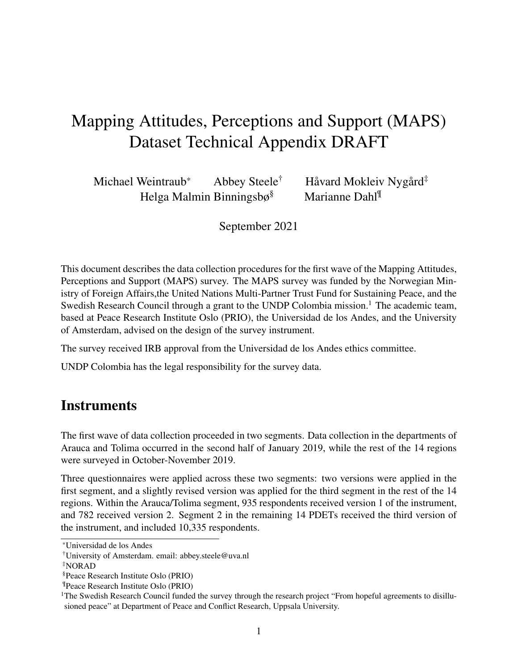# Mapping Attitudes, Perceptions and Support (MAPS) Dataset Technical Appendix DRAFT

Michael Weintraub $^*$  Abbey Steele $^\dagger$  Håvard Mokleiv Nygård $^\ddagger$ Helga Malmin Binningsbø§ Marianne Dahl¶

September 2021

This document describes the data collection procedures for the first wave of the Mapping Attitudes, Perceptions and Support (MAPS) survey. The MAPS survey was funded by the Norwegian Ministry of Foreign Affairs,the United Nations Multi-Partner Trust Fund for Sustaining Peace, and the Swedish Research Council through a grant to the UNDP Colombia mission.<sup>1</sup> The academic team, based at Peace Research Institute Oslo (PRIO), the Universidad de los Andes, and the University of Amsterdam, advised on the design of the survey instrument.

The survey received IRB approval from the Universidad de los Andes ethics committee.

UNDP Colombia has the legal responsibility for the survey data.

### **Instruments**

The first wave of data collection proceeded in two segments. Data collection in the departments of Arauca and Tolima occurred in the second half of January 2019, while the rest of the 14 regions were surveyed in October-November 2019.

Three questionnaires were applied across these two segments: two versions were applied in the first segment, and a slightly revised version was applied for the third segment in the rest of the 14 regions. Within the Arauca/Tolima segment, 935 respondents received version 1 of the instrument, and 782 received version 2. Segment 2 in the remaining 14 PDETs received the third version of the instrument, and included 10,335 respondents.

<sup>\*</sup>Universidad de los Andes

<sup>†</sup>University of Amsterdam. email: abbey.steele@uva.nl

<sup>‡</sup>NORAD

<sup>§</sup>Peace Research Institute Oslo (PRIO)

<sup>¶</sup>Peace Research Institute Oslo (PRIO)

 $1$ The Swedish Research Council funded the survey through the research project "From hopeful agreements to disillusioned peace" at Department of Peace and Conflict Research, Uppsala University.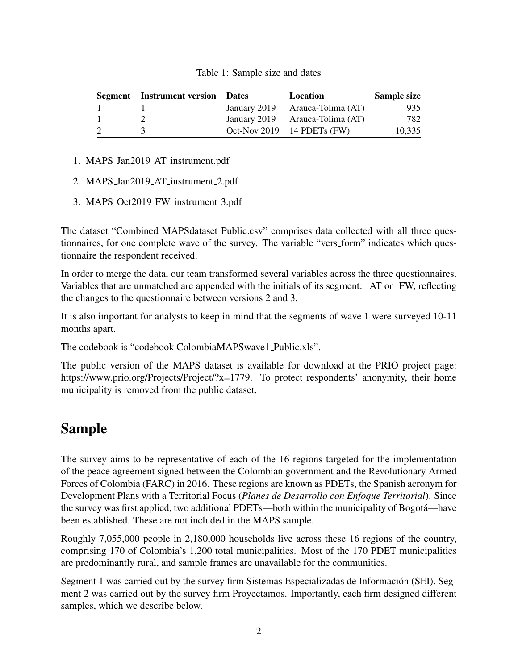| Table 1: Sample size and dates |  |  |
|--------------------------------|--|--|
|--------------------------------|--|--|

|   | <b>Segment</b> Instrument version Dates | Location                        | <b>Sample size</b> |
|---|-----------------------------------------|---------------------------------|--------------------|
|   |                                         | January 2019 Arauca-Tolima (AT) | 935                |
|   |                                         | January 2019 Arauca-Tolima (AT) | 782                |
| 2 |                                         | Oct-Nov 2019 $14$ PDETs (FW)    | 10,335             |

- 1. MAPS Jan2019 AT instrument.pdf
- 2. MAPS Jan2019 AT instrument 2.pdf
- 3. MAPS Oct2019 FW instrument 3.pdf

The dataset "Combined MAPSdataset Public.csv" comprises data collected with all three questionnaires, for one complete wave of the survey. The variable "vers form" indicates which questionnaire the respondent received.

In order to merge the data, our team transformed several variables across the three questionnaires. Variables that are unmatched are appended with the initials of its segment: AT or FW, reflecting the changes to the questionnaire between versions 2 and 3.

It is also important for analysts to keep in mind that the segments of wave 1 were surveyed 10-11 months apart.

The codebook is "codebook ColombiaMAPSwave1 Public.xls".

The public version of the MAPS dataset is available for download at the PRIO project page: https://www.prio.org/Projects/Project/?x=1779. To protect respondents' anonymity, their home municipality is removed from the public dataset.

## Sample

The survey aims to be representative of each of the 16 regions targeted for the implementation of the peace agreement signed between the Colombian government and the Revolutionary Armed Forces of Colombia (FARC) in 2016. These regions are known as PDETs, the Spanish acronym for Development Plans with a Territorial Focus (*Planes de Desarrollo con Enfoque Territorial*). Since the survey was first applied, two additional PDETs—both within the municipality of Bogota—have ´ been established. These are not included in the MAPS sample.

Roughly 7,055,000 people in 2,180,000 households live across these 16 regions of the country, comprising 170 of Colombia's 1,200 total municipalities. Most of the 170 PDET municipalities are predominantly rural, and sample frames are unavailable for the communities.

Segment 1 was carried out by the survey firm Sistemas Especializadas de Información (SEI). Segment 2 was carried out by the survey firm Proyectamos. Importantly, each firm designed different samples, which we describe below.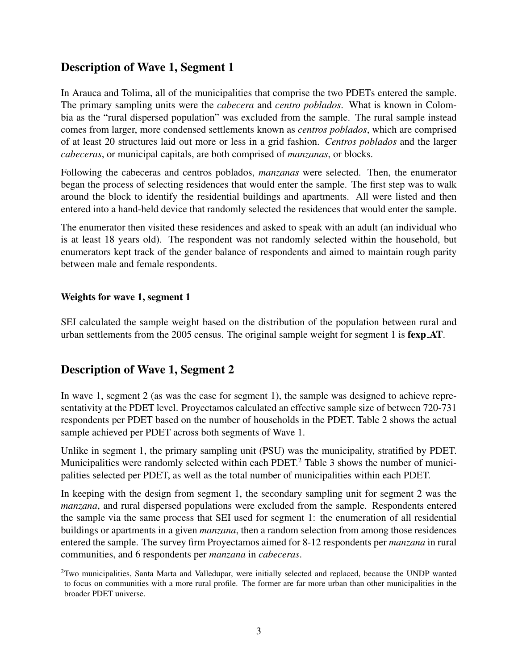### Description of Wave 1, Segment 1

In Arauca and Tolima, all of the municipalities that comprise the two PDETs entered the sample. The primary sampling units were the *cabecera* and *centro poblados*. What is known in Colombia as the "rural dispersed population" was excluded from the sample. The rural sample instead comes from larger, more condensed settlements known as *centros poblados*, which are comprised of at least 20 structures laid out more or less in a grid fashion. *Centros poblados* and the larger *cabeceras*, or municipal capitals, are both comprised of *manzanas*, or blocks.

Following the cabeceras and centros poblados, *manzanas* were selected. Then, the enumerator began the process of selecting residences that would enter the sample. The first step was to walk around the block to identify the residential buildings and apartments. All were listed and then entered into a hand-held device that randomly selected the residences that would enter the sample.

The enumerator then visited these residences and asked to speak with an adult (an individual who is at least 18 years old). The respondent was not randomly selected within the household, but enumerators kept track of the gender balance of respondents and aimed to maintain rough parity between male and female respondents.

#### Weights for wave 1, segment 1

SEI calculated the sample weight based on the distribution of the population between rural and urban settlements from the 2005 census. The original sample weight for segment 1 is fexp AT.

### Description of Wave 1, Segment 2

In wave 1, segment 2 (as was the case for segment 1), the sample was designed to achieve representativity at the PDET level. Proyectamos calculated an effective sample size of between 720-731 respondents per PDET based on the number of households in the PDET. Table 2 shows the actual sample achieved per PDET across both segments of Wave 1.

Unlike in segment 1, the primary sampling unit (PSU) was the municipality, stratified by PDET. Municipalities were randomly selected within each PDET.<sup>2</sup> Table 3 shows the number of municipalities selected per PDET, as well as the total number of municipalities within each PDET.

In keeping with the design from segment 1, the secondary sampling unit for segment 2 was the *manzana*, and rural dispersed populations were excluded from the sample. Respondents entered the sample via the same process that SEI used for segment 1: the enumeration of all residential buildings or apartments in a given *manzana*, then a random selection from among those residences entered the sample. The survey firm Proyectamos aimed for 8-12 respondents per *manzana* in rural communities, and 6 respondents per *manzana* in *cabeceras*.

<sup>&</sup>lt;sup>2</sup>Two municipalities, Santa Marta and Valledupar, were initially selected and replaced, because the UNDP wanted to focus on communities with a more rural profile. The former are far more urban than other municipalities in the broader PDET universe.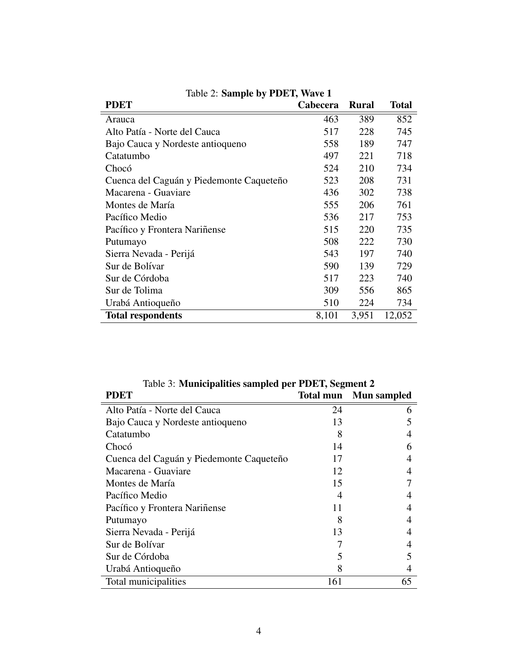| $-$ . $       -$<br><b>PDET</b>          | <b>Cabecera</b> | <b>Rural</b> | <b>Total</b> |
|------------------------------------------|-----------------|--------------|--------------|
| Arauca                                   | 463             | 389          | 852          |
| Alto Patía - Norte del Cauca             | 517             | 228          | 745          |
| Bajo Cauca y Nordeste antioqueno         | 558             | 189          | 747          |
| Catatumbo                                | 497             | 221          | 718          |
| Chocó                                    | 524             | 210          | 734          |
| Cuenca del Caguán y Piedemonte Caqueteño | 523             | 208          | 731          |
| Macarena - Guaviare                      | 436             | 302          | 738          |
| Montes de María                          | 555             | 206          | 761          |
| Pacífico Medio                           | 536             | 217          | 753          |
| Pacífico y Frontera Nariñense            | 515             | 220          | 735          |
| Putumayo                                 | 508             | 222          | 730          |
| Sierra Nevada - Perijá                   | 543             | 197          | 740          |
| Sur de Bolívar                           | 590             | 139          | 729          |
| Sur de Córdoba                           | 517             | 223          | 740          |
| Sur de Tolima                            | 309             | 556          | 865          |
| Urabá Antioqueño                         | 510             | 224          | 734          |
| <b>Total respondents</b>                 | 8,101           | 3,951        | 12,052       |

|  |  | Table 2: Sample by PDET, Wave 1 |  |
|--|--|---------------------------------|--|
|--|--|---------------------------------|--|

| Table 5: Municipalities sampled per PDET, Segment 2 |     |                              |  |
|-----------------------------------------------------|-----|------------------------------|--|
| <b>PDET</b>                                         |     | <b>Total mun</b> Mun sampled |  |
| Alto Patía - Norte del Cauca                        | 24  | h                            |  |
| Bajo Cauca y Nordeste antioqueno                    | 13  |                              |  |
| Catatumbo                                           | 8   |                              |  |
| Chocó                                               | 14  | 6                            |  |
| Cuenca del Caguán y Piedemonte Caqueteño            | 17  | 4                            |  |
| Macarena - Guaviare                                 | 12  |                              |  |
| Montes de María                                     | 15  |                              |  |
| Pacífico Medio                                      | 4   |                              |  |
| Pacífico y Frontera Nariñense                       | 11  |                              |  |
| Putumayo                                            | 8   |                              |  |
| Sierra Nevada - Perijá                              | 13  |                              |  |
| Sur de Bolívar                                      |     |                              |  |
| Sur de Córdoba                                      | 5   | 5                            |  |
| Urabá Antioqueño                                    | 8   |                              |  |
| Total municipalities                                | 161 | 65                           |  |

Table 3: Municipalities sampled per PDET, Segment 2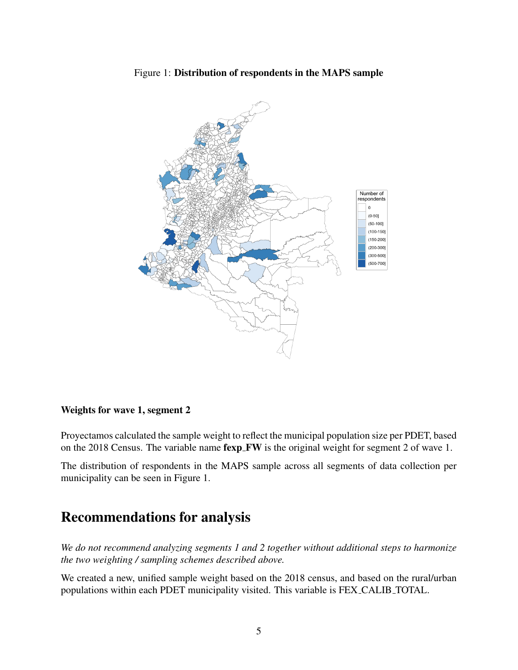



#### Weights for wave 1, segment 2

Proyectamos calculated the sample weight to reflect the municipal population size per PDET, based on the 2018 Census. The variable name **fexp FW** is the original weight for segment 2 of wave 1.

The distribution of respondents in the MAPS sample across all segments of data collection per municipality can be seen in Figure 1.

## Recommendations for analysis

*We do not recommend analyzing segments 1 and 2 together without additional steps to harmonize the two weighting / sampling schemes described above.*

We created a new, unified sample weight based on the 2018 census, and based on the rural/urban populations within each PDET municipality visited. This variable is FEX CALIB TOTAL.